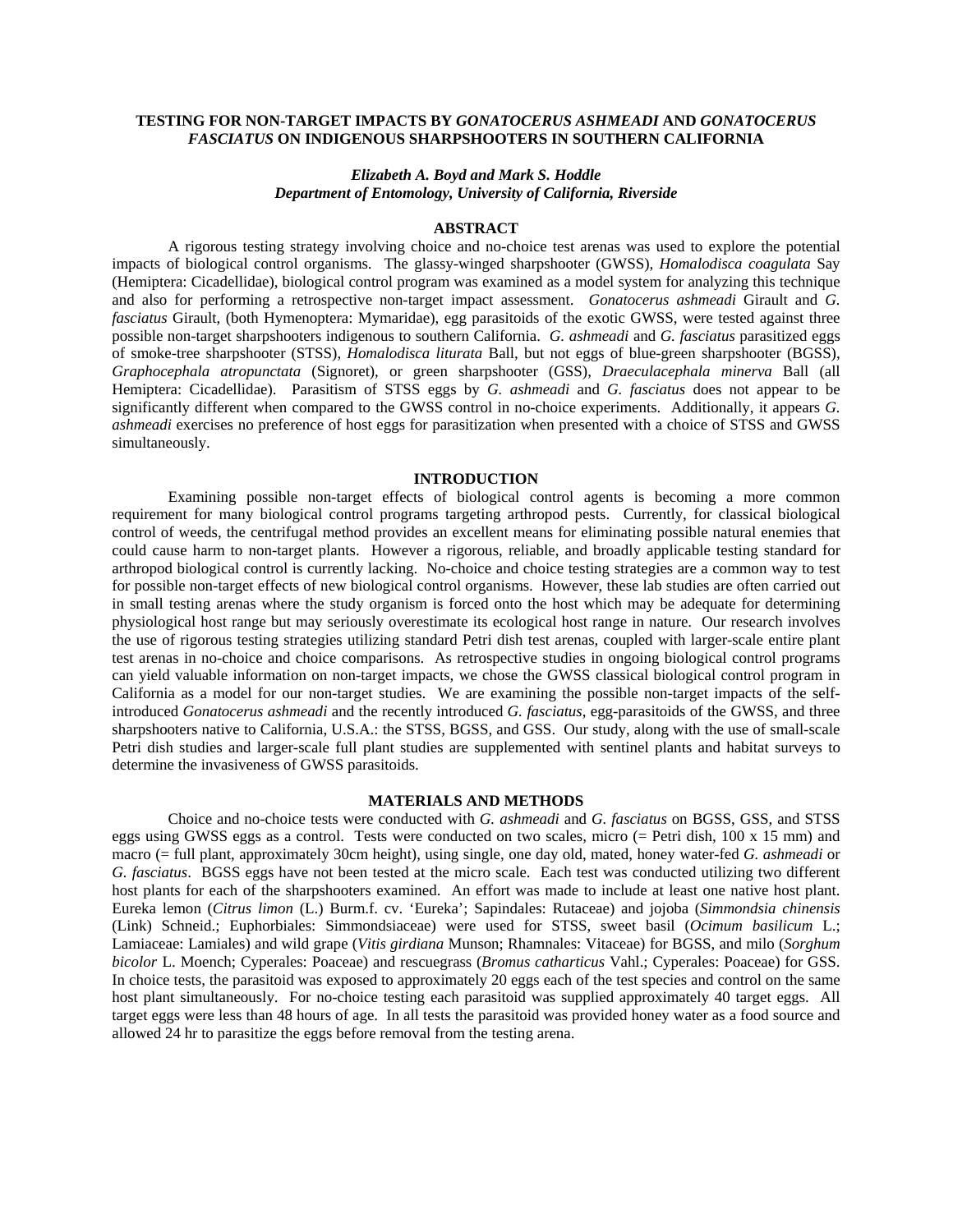## **TESTING FOR NON-TARGET IMPACTS BY** *GONATOCERUS ASHMEADI* **AND** *GONATOCERUS FASCIATUS* **ON INDIGENOUS SHARPSHOOTERS IN SOUTHERN CALIFORNIA**

## *Elizabeth A. Boyd and Mark S. Hoddle Department of Entomology, University of California, Riverside*

#### **ABSTRACT**

A rigorous testing strategy involving choice and no-choice test arenas was used to explore the potential impacts of biological control organisms. The glassy-winged sharpshooter (GWSS), *Homalodisca coagulata* Say (Hemiptera: Cicadellidae), biological control program was examined as a model system for analyzing this technique and also for performing a retrospective non-target impact assessment. *Gonatocerus ashmeadi* Girault and *G. fasciatus* Girault, (both Hymenoptera: Mymaridae), egg parasitoids of the exotic GWSS, were tested against three possible non-target sharpshooters indigenous to southern California. *G. ashmeadi* and *G. fasciatus* parasitized eggs of smoke-tree sharpshooter (STSS), *Homalodisca liturata* Ball, but not eggs of blue-green sharpshooter (BGSS), *Graphocephala atropunctata* (Signoret), or green sharpshooter (GSS), *Draeculacephala minerva* Ball (all Hemiptera: Cicadellidae). Parasitism of STSS eggs by *G. ashmeadi* and *G. fasciatus* does not appear to be significantly different when compared to the GWSS control in no-choice experiments. Additionally, it appears *G. ashmeadi* exercises no preference of host eggs for parasitization when presented with a choice of STSS and GWSS simultaneously.

### **INTRODUCTION**

Examining possible non-target effects of biological control agents is becoming a more common requirement for many biological control programs targeting arthropod pests. Currently, for classical biological control of weeds, the centrifugal method provides an excellent means for eliminating possible natural enemies that could cause harm to non-target plants. However a rigorous, reliable, and broadly applicable testing standard for arthropod biological control is currently lacking. No-choice and choice testing strategies are a common way to test for possible non-target effects of new biological control organisms. However, these lab studies are often carried out in small testing arenas where the study organism is forced onto the host which may be adequate for determining physiological host range but may seriously overestimate its ecological host range in nature. Our research involves the use of rigorous testing strategies utilizing standard Petri dish test arenas, coupled with larger-scale entire plant test arenas in no-choice and choice comparisons. As retrospective studies in ongoing biological control programs can yield valuable information on non-target impacts, we chose the GWSS classical biological control program in California as a model for our non-target studies. We are examining the possible non-target impacts of the selfintroduced *Gonatocerus ashmeadi* and the recently introduced *G. fasciatus*, egg-parasitoids of the GWSS, and three sharpshooters native to California, U.S.A.: the STSS, BGSS, and GSS. Our study, along with the use of small-scale Petri dish studies and larger-scale full plant studies are supplemented with sentinel plants and habitat surveys to determine the invasiveness of GWSS parasitoids.

#### **MATERIALS AND METHODS**

Choice and no-choice tests were conducted with *G. ashmeadi* and *G. fasciatus* on BGSS, GSS, and STSS eggs using GWSS eggs as a control. Tests were conducted on two scales, micro (= Petri dish, 100 x 15 mm) and macro (= full plant, approximately 30cm height), using single, one day old, mated, honey water-fed *G. ashmeadi* or *G. fasciatus*. BGSS eggs have not been tested at the micro scale. Each test was conducted utilizing two different host plants for each of the sharpshooters examined. An effort was made to include at least one native host plant. Eureka lemon (*Citrus limon* (L.) Burm.f. cv. 'Eureka'; Sapindales: Rutaceae) and jojoba (*Simmondsia chinensis* (Link) Schneid.; Euphorbiales: Simmondsiaceae) were used for STSS, sweet basil (*Ocimum basilicum* L.; Lamiaceae: Lamiales) and wild grape (*Vitis girdiana* Munson; Rhamnales: Vitaceae) for BGSS, and milo (*Sorghum bicolor* L. Moench; Cyperales: Poaceae) and rescuegrass (*Bromus catharticus* Vahl.; Cyperales: Poaceae) for GSS. In choice tests, the parasitoid was exposed to approximately 20 eggs each of the test species and control on the same host plant simultaneously. For no-choice testing each parasitoid was supplied approximately 40 target eggs. All target eggs were less than 48 hours of age. In all tests the parasitoid was provided honey water as a food source and allowed 24 hr to parasitize the eggs before removal from the testing arena.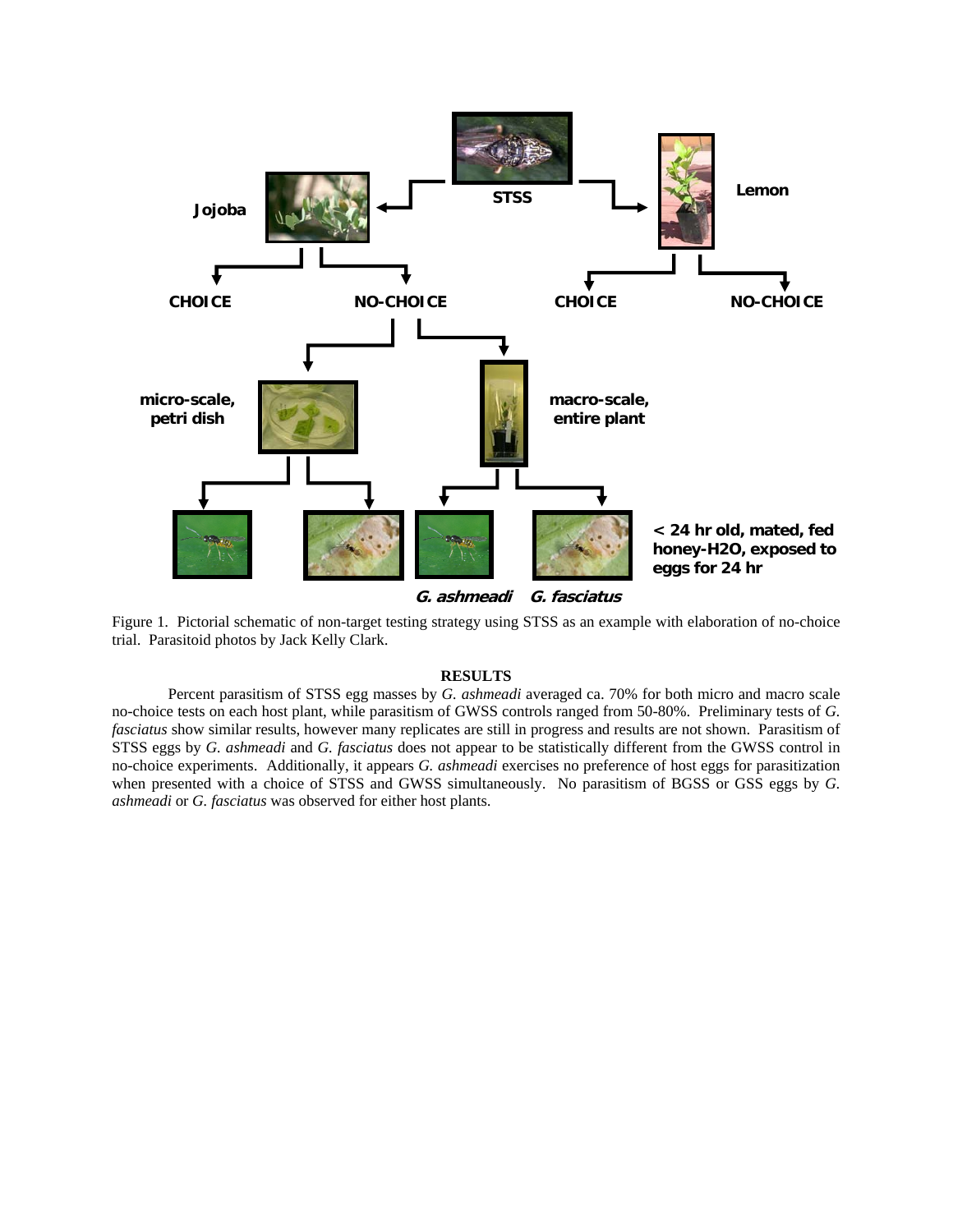

**G. ashmeadi G. fasciatus**

Figure 1. Pictorial schematic of non-target testing strategy using STSS as an example with elaboration of no-choice trial. Parasitoid photos by Jack Kelly Clark.

# **RESULTS**

Percent parasitism of STSS egg masses by *G. ashmeadi* averaged ca. 70% for both micro and macro scale no-choice tests on each host plant, while parasitism of GWSS controls ranged from 50-80%. Preliminary tests of *G. fasciatus* show similar results, however many replicates are still in progress and results are not shown. Parasitism of STSS eggs by *G. ashmeadi* and *G. fasciatus* does not appear to be statistically different from the GWSS control in no-choice experiments. Additionally, it appears *G. ashmeadi* exercises no preference of host eggs for parasitization when presented with a choice of STSS and GWSS simultaneously. No parasitism of BGSS or GSS eggs by *G. ashmeadi* or *G. fasciatus* was observed for either host plants.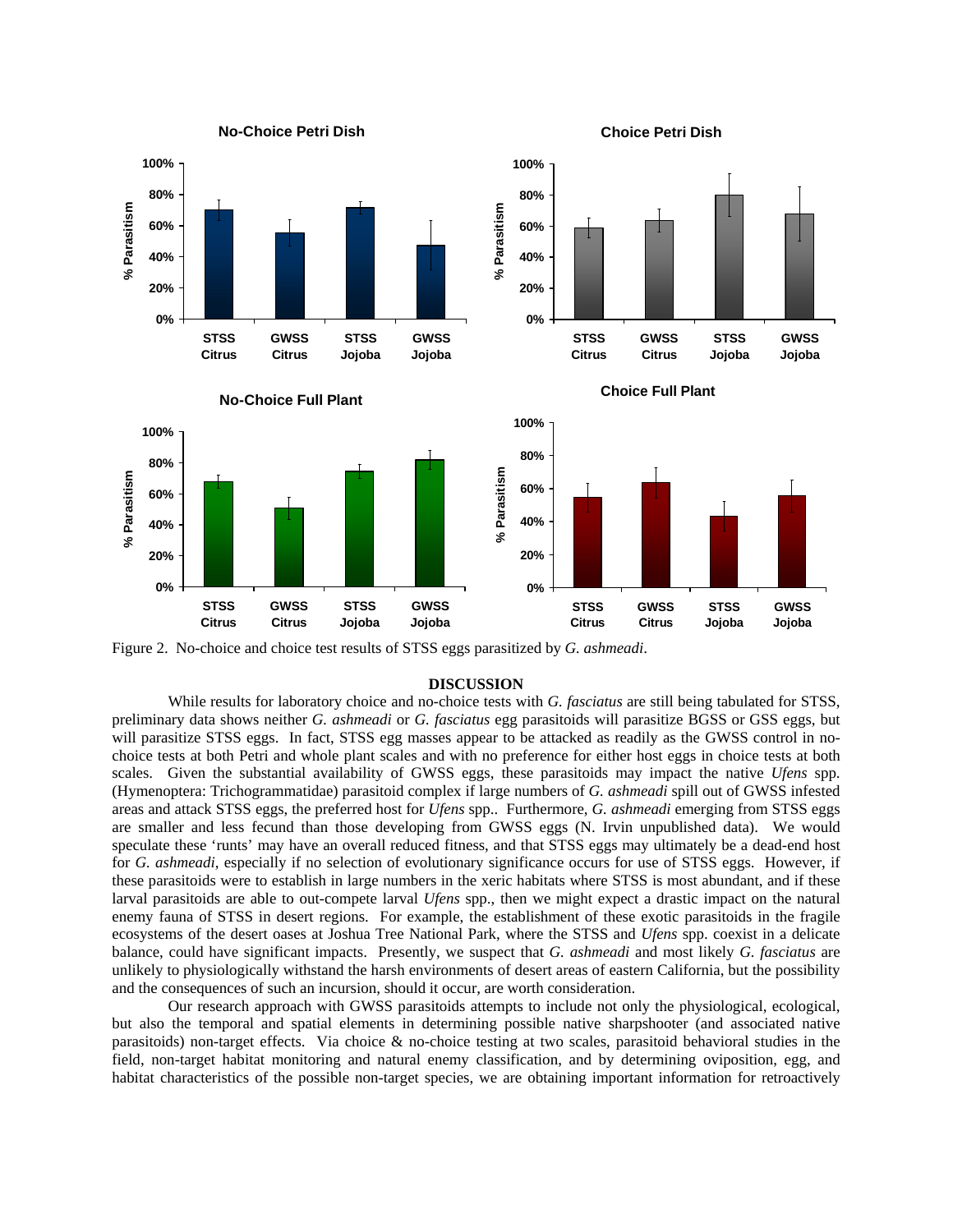

Figure 2. No-choice and choice test results of STSS eggs parasitized by *G. ashmeadi*.

#### **DISCUSSION**

While results for laboratory choice and no-choice tests with *G. fasciatus* are still being tabulated for STSS, preliminary data shows neither *G. ashmeadi* or *G. fasciatus* egg parasitoids will parasitize BGSS or GSS eggs, but will parasitize STSS eggs. In fact, STSS egg masses appear to be attacked as readily as the GWSS control in nochoice tests at both Petri and whole plant scales and with no preference for either host eggs in choice tests at both scales. Given the substantial availability of GWSS eggs, these parasitoids may impact the native *Ufens* spp. (Hymenoptera: Trichogrammatidae) parasitoid complex if large numbers of *G. ashmeadi* spill out of GWSS infested areas and attack STSS eggs, the preferred host for *Ufens* spp.. Furthermore, *G. ashmeadi* emerging from STSS eggs are smaller and less fecund than those developing from GWSS eggs (N. Irvin unpublished data). We would speculate these 'runts' may have an overall reduced fitness, and that STSS eggs may ultimately be a dead-end host for *G. ashmeadi*, especially if no selection of evolutionary significance occurs for use of STSS eggs. However, if these parasitoids were to establish in large numbers in the xeric habitats where STSS is most abundant, and if these larval parasitoids are able to out-compete larval *Ufens* spp., then we might expect a drastic impact on the natural enemy fauna of STSS in desert regions. For example, the establishment of these exotic parasitoids in the fragile ecosystems of the desert oases at Joshua Tree National Park, where the STSS and *Ufens* spp. coexist in a delicate balance, could have significant impacts. Presently, we suspect that *G. ashmeadi* and most likely *G. fasciatus* are unlikely to physiologically withstand the harsh environments of desert areas of eastern California, but the possibility and the consequences of such an incursion, should it occur, are worth consideration.

Our research approach with GWSS parasitoids attempts to include not only the physiological, ecological, but also the temporal and spatial elements in determining possible native sharpshooter (and associated native parasitoids) non-target effects. Via choice & no-choice testing at two scales, parasitoid behavioral studies in the field, non-target habitat monitoring and natural enemy classification, and by determining oviposition, egg, and habitat characteristics of the possible non-target species, we are obtaining important information for retroactively